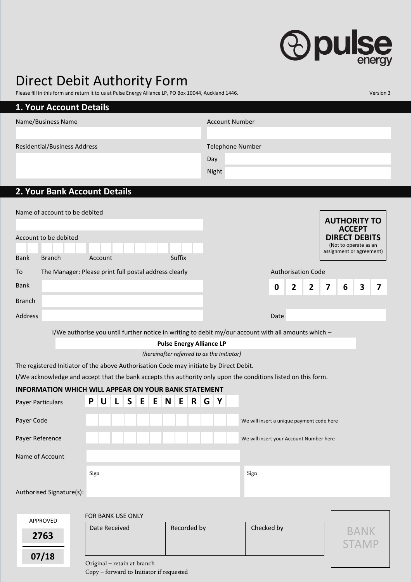## *<u>Opulse</u>*

## Direct Debit Authority Form

|                                                                                                                                                                                                          | Please fill in this form and return it to us at Pulse Energy Alliance LP, PO Box 10044, Auckland 1446. |              |  |  |  |  |  |        |  |     |                       |                         |                                           |      |                | Version 3                            |                                               |                          |                         |   |
|----------------------------------------------------------------------------------------------------------------------------------------------------------------------------------------------------------|--------------------------------------------------------------------------------------------------------|--------------|--|--|--|--|--|--------|--|-----|-----------------------|-------------------------|-------------------------------------------|------|----------------|--------------------------------------|-----------------------------------------------|--------------------------|-------------------------|---|
| <b>1. Your Account Details</b>                                                                                                                                                                           |                                                                                                        |              |  |  |  |  |  |        |  |     |                       |                         |                                           |      |                |                                      |                                               |                          |                         |   |
| Name/Business Name                                                                                                                                                                                       |                                                                                                        |              |  |  |  |  |  |        |  |     | <b>Account Number</b> |                         |                                           |      |                |                                      |                                               |                          |                         |   |
|                                                                                                                                                                                                          |                                                                                                        |              |  |  |  |  |  |        |  |     |                       |                         |                                           |      |                |                                      |                                               |                          |                         |   |
| <b>Residential/Business Address</b>                                                                                                                                                                      |                                                                                                        |              |  |  |  |  |  |        |  |     |                       | <b>Telephone Number</b> |                                           |      |                |                                      |                                               |                          |                         |   |
|                                                                                                                                                                                                          |                                                                                                        |              |  |  |  |  |  |        |  | Day |                       |                         |                                           |      |                |                                      |                                               |                          |                         |   |
|                                                                                                                                                                                                          |                                                                                                        |              |  |  |  |  |  |        |  |     | Night                 |                         |                                           |      |                |                                      |                                               |                          |                         |   |
| 2. Your Bank Account Details                                                                                                                                                                             |                                                                                                        |              |  |  |  |  |  |        |  |     |                       |                         |                                           |      |                |                                      |                                               |                          |                         |   |
|                                                                                                                                                                                                          |                                                                                                        |              |  |  |  |  |  |        |  |     |                       |                         |                                           |      |                |                                      |                                               |                          |                         |   |
| Name of account to be debited                                                                                                                                                                            |                                                                                                        |              |  |  |  |  |  |        |  |     |                       |                         |                                           |      |                |                                      |                                               |                          |                         |   |
|                                                                                                                                                                                                          |                                                                                                        |              |  |  |  |  |  |        |  |     |                       |                         |                                           |      |                | <b>AUTHORITY TO</b><br><b>ACCEPT</b> |                                               |                          |                         |   |
| Account to be debited                                                                                                                                                                                    |                                                                                                        |              |  |  |  |  |  |        |  |     |                       |                         |                                           |      |                |                                      | <b>DIRECT DEBITS</b><br>(Not to operate as an |                          |                         |   |
| <b>Bank</b><br><b>Branch</b>                                                                                                                                                                             |                                                                                                        | Account      |  |  |  |  |  | Suffix |  |     |                       |                         |                                           |      |                |                                      |                                               | assignment or agreement) |                         |   |
| To                                                                                                                                                                                                       | The Manager: Please print full postal address clearly                                                  |              |  |  |  |  |  |        |  |     |                       |                         | <b>Authorisation Code</b>                 |      |                |                                      |                                               |                          |                         |   |
| <b>Bank</b>                                                                                                                                                                                              |                                                                                                        |              |  |  |  |  |  |        |  |     |                       |                         |                                           |      |                |                                      |                                               |                          |                         |   |
|                                                                                                                                                                                                          |                                                                                                        |              |  |  |  |  |  |        |  |     |                       |                         |                                           | 0    | $\overline{2}$ | $\overline{2}$                       | 7                                             | 6                        | $\overline{\mathbf{3}}$ | 7 |
| <b>Branch</b>                                                                                                                                                                                            |                                                                                                        |              |  |  |  |  |  |        |  |     |                       |                         |                                           |      |                |                                      |                                               |                          |                         |   |
| <b>Address</b>                                                                                                                                                                                           |                                                                                                        |              |  |  |  |  |  |        |  |     |                       |                         |                                           | Date |                |                                      |                                               |                          |                         |   |
| I/We authorise you until further notice in writing to debit my/our account with all amounts which -                                                                                                      |                                                                                                        |              |  |  |  |  |  |        |  |     |                       |                         |                                           |      |                |                                      |                                               |                          |                         |   |
| <b>Pulse Energy Alliance LP</b><br>(hereinafter referred to as the Initiator)                                                                                                                            |                                                                                                        |              |  |  |  |  |  |        |  |     |                       |                         |                                           |      |                |                                      |                                               |                          |                         |   |
|                                                                                                                                                                                                          |                                                                                                        |              |  |  |  |  |  |        |  |     |                       |                         |                                           |      |                |                                      |                                               |                          |                         |   |
| The registered Initiator of the above Authorisation Code may initiate by Direct Debit.<br>I/We acknowledge and accept that the bank accepts this authority only upon the conditions listed on this form. |                                                                                                        |              |  |  |  |  |  |        |  |     |                       |                         |                                           |      |                |                                      |                                               |                          |                         |   |
| <b>INFORMATION WHICH WILL APPEAR ON YOUR BANK STATEMENT</b>                                                                                                                                              |                                                                                                        |              |  |  |  |  |  |        |  |     |                       |                         |                                           |      |                |                                      |                                               |                          |                         |   |
| Payer Particulars                                                                                                                                                                                        | P                                                                                                      | $\mathsf{U}$ |  |  |  |  |  |        |  | G   | $\mathsf{Y}$          |                         |                                           |      |                |                                      |                                               |                          |                         |   |
|                                                                                                                                                                                                          |                                                                                                        |              |  |  |  |  |  |        |  |     |                       |                         |                                           |      |                |                                      |                                               |                          |                         |   |
| Payer Code                                                                                                                                                                                               |                                                                                                        |              |  |  |  |  |  |        |  |     |                       |                         | We will insert a unique payment code here |      |                |                                      |                                               |                          |                         |   |
| Payer Reference                                                                                                                                                                                          |                                                                                                        |              |  |  |  |  |  |        |  |     |                       |                         | We will insert your Account Number here   |      |                |                                      |                                               |                          |                         |   |
| Name of Account                                                                                                                                                                                          |                                                                                                        |              |  |  |  |  |  |        |  |     |                       |                         |                                           |      |                |                                      |                                               |                          |                         |   |
| Sign                                                                                                                                                                                                     |                                                                                                        |              |  |  |  |  |  | Sign   |  |     |                       |                         |                                           |      |                |                                      |                                               |                          |                         |   |
|                                                                                                                                                                                                          |                                                                                                        |              |  |  |  |  |  |        |  |     |                       |                         |                                           |      |                |                                      |                                               |                          |                         |   |
| Authorised Signature(s):                                                                                                                                                                                 |                                                                                                        |              |  |  |  |  |  |        |  |     |                       |                         |                                           |      |                |                                      |                                               |                          |                         |   |
|                                                                                                                                                                                                          |                                                                                                        |              |  |  |  |  |  |        |  |     |                       |                         |                                           |      |                |                                      |                                               |                          |                         |   |
| APPROVED                                                                                                                                                                                                 | FOR BANK USE ONLY                                                                                      |              |  |  |  |  |  |        |  |     |                       |                         |                                           |      |                |                                      |                                               |                          |                         |   |
| 2763                                                                                                                                                                                                     | Recorded by<br>Date Received                                                                           |              |  |  |  |  |  |        |  |     | Checked by            |                         |                                           |      |                |                                      | <b>BANK</b><br><b>STAMP</b>                   |                          |                         |   |
|                                                                                                                                                                                                          |                                                                                                        |              |  |  |  |  |  |        |  |     |                       |                         |                                           |      |                |                                      |                                               |                          |                         |   |

Original – retain at branch

**07/18**

Copy – forward to Initiator if requested